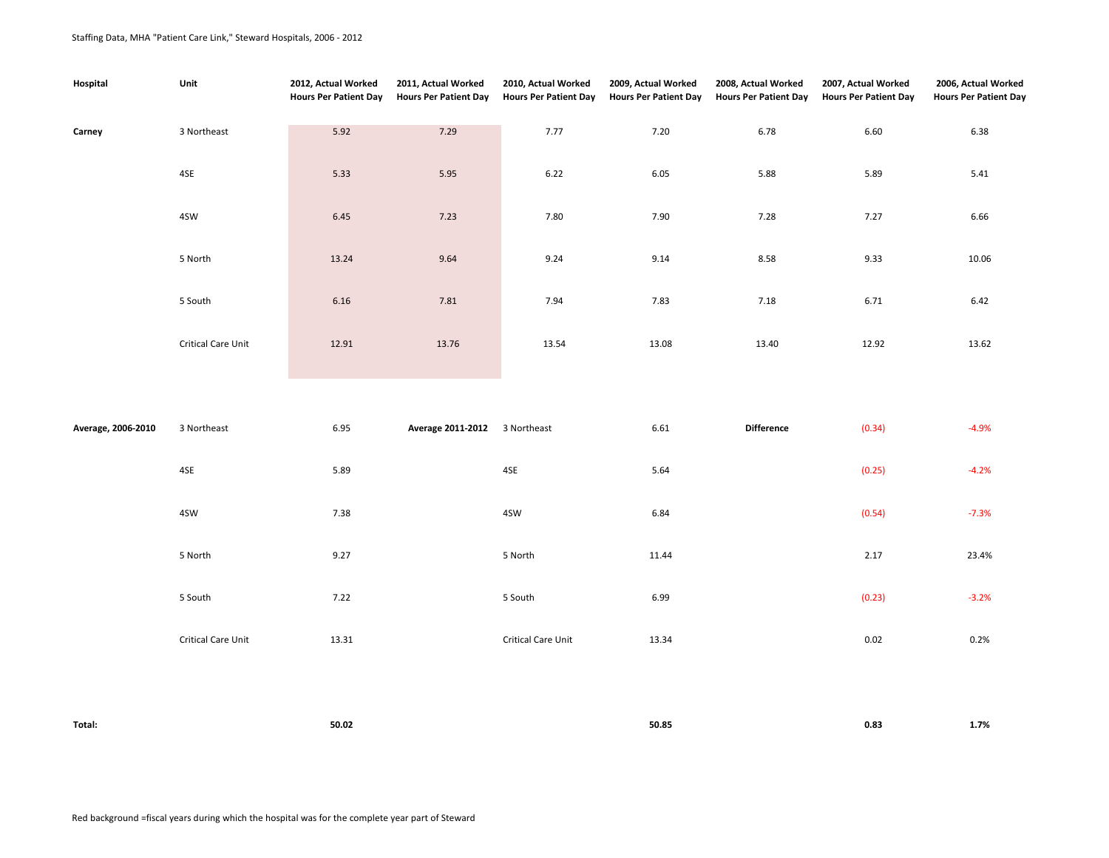| Hospital           | Unit               | 2012, Actual Worked<br><b>Hours Per Patient Day</b> | 2011, Actual Worked<br><b>Hours Per Patient Day</b> | 2010, Actual Worked<br><b>Hours Per Patient Day</b> | 2009, Actual Worked<br><b>Hours Per Patient Day</b> | 2008, Actual Worked<br><b>Hours Per Patient Day</b> | 2007, Actual Worked<br><b>Hours Per Patient Day</b> | 2006, Actual Worked<br><b>Hours Per Patient Day</b> |
|--------------------|--------------------|-----------------------------------------------------|-----------------------------------------------------|-----------------------------------------------------|-----------------------------------------------------|-----------------------------------------------------|-----------------------------------------------------|-----------------------------------------------------|
| Carney             | 3 Northeast        | 5.92                                                | 7.29                                                | 7.77                                                | 7.20                                                | 6.78                                                | 6.60                                                | 6.38                                                |
|                    | 4SE                | 5.33                                                | 5.95                                                | 6.22                                                | 6.05                                                | 5.88                                                | 5.89                                                | 5.41                                                |
|                    | 4SW                | 6.45                                                | 7.23                                                | 7.80                                                | 7.90                                                | 7.28                                                | 7.27                                                | 6.66                                                |
|                    | 5 North            | 13.24                                               | 9.64                                                | 9.24                                                | 9.14                                                | 8.58                                                | 9.33                                                | 10.06                                               |
|                    | 5 South            | 6.16                                                | 7.81                                                | 7.94                                                | 7.83                                                | 7.18                                                | 6.71                                                | 6.42                                                |
|                    | Critical Care Unit | 12.91                                               | 13.76                                               | 13.54                                               | 13.08                                               | 13.40                                               | 12.92                                               | 13.62                                               |
|                    |                    |                                                     |                                                     |                                                     |                                                     |                                                     |                                                     |                                                     |
| Average, 2006-2010 | 3 Northeast        | 6.95                                                | Average 2011-2012 3 Northeast                       |                                                     | 6.61                                                | <b>Difference</b>                                   | (0.34)                                              | $-4.9%$                                             |
|                    | 4SE                | 5.89                                                |                                                     | 4SE                                                 | 5.64                                                |                                                     | (0.25)                                              | $-4.2%$                                             |
|                    | 4SW                | 7.38                                                |                                                     | 4SW                                                 | 6.84                                                |                                                     | (0.54)                                              | $-7.3%$                                             |
|                    | 5 North            | 9.27                                                |                                                     | 5 North                                             | 11.44                                               |                                                     | 2.17                                                | 23.4%                                               |
|                    | 5 South            | 7.22                                                |                                                     | 5 South                                             | 6.99                                                |                                                     | (0.23)                                              | $-3.2%$                                             |
|                    | Critical Care Unit | 13.31                                               |                                                     | Critical Care Unit                                  | 13.34                                               |                                                     | 0.02                                                | 0.2%                                                |
|                    |                    |                                                     |                                                     |                                                     |                                                     |                                                     |                                                     |                                                     |

| Total: | 50.02 | 50.85 | 0.83 | 1.7% |
|--------|-------|-------|------|------|
|        |       |       |      |      |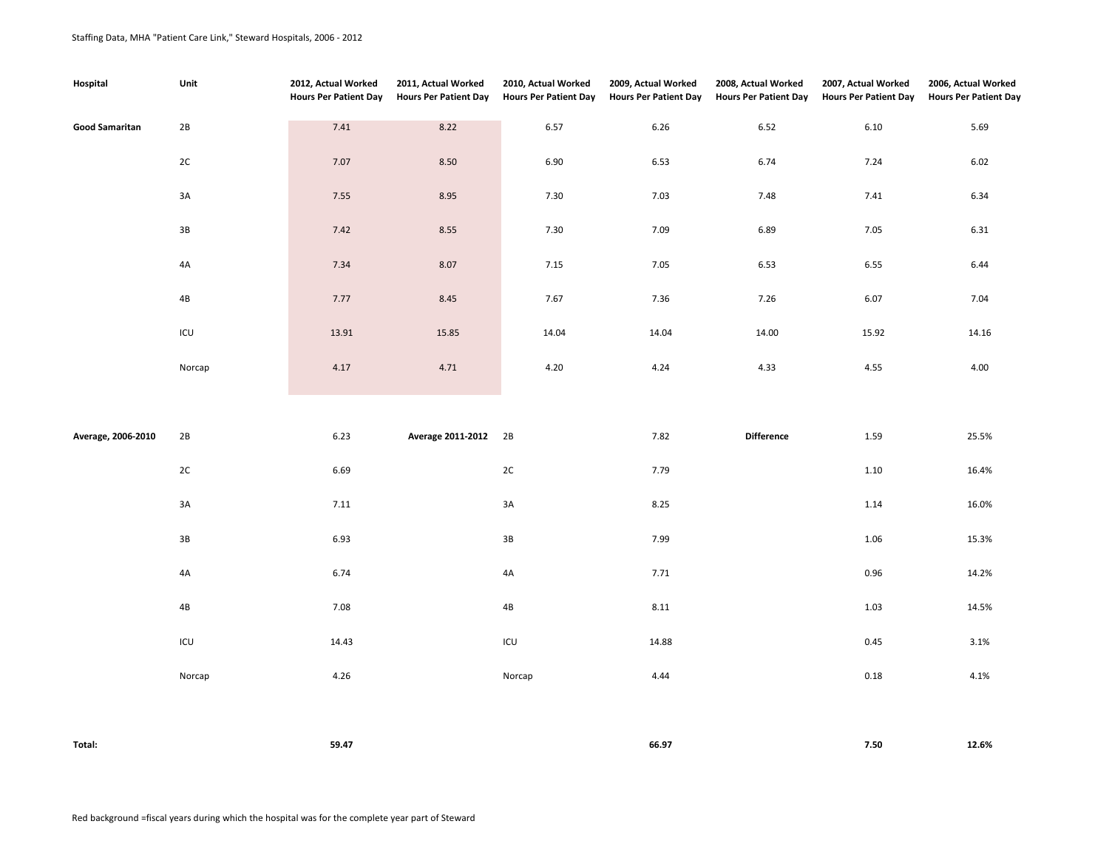| Hospital              | Unit           | 2012, Actual Worked<br><b>Hours Per Patient Day</b> | 2011, Actual Worked<br><b>Hours Per Patient Day</b> | 2010, Actual Worked<br><b>Hours Per Patient Day</b> | 2009, Actual Worked<br><b>Hours Per Patient Day</b> | 2008, Actual Worked<br><b>Hours Per Patient Day</b> | 2007, Actual Worked<br><b>Hours Per Patient Day</b> | 2006, Actual Worked<br><b>Hours Per Patient Day</b> |
|-----------------------|----------------|-----------------------------------------------------|-----------------------------------------------------|-----------------------------------------------------|-----------------------------------------------------|-----------------------------------------------------|-----------------------------------------------------|-----------------------------------------------------|
| <b>Good Samaritan</b> | 2B             | 7.41                                                | 8.22                                                | 6.57                                                | 6.26                                                | 6.52                                                | 6.10                                                | 5.69                                                |
|                       | $2\mathrm{C}$  | 7.07                                                | 8.50                                                | 6.90                                                | 6.53                                                | 6.74                                                | 7.24                                                | 6.02                                                |
|                       | $3A$           | 7.55                                                | 8.95                                                | 7.30                                                | 7.03                                                | 7.48                                                | 7.41                                                | 6.34                                                |
|                       | $3\mathsf{B}$  | 7.42                                                | 8.55                                                | 7.30                                                | 7.09                                                | 6.89                                                | 7.05                                                | 6.31                                                |
|                       | 4A             | 7.34                                                | 8.07                                                | 7.15                                                | 7.05                                                | 6.53                                                | 6.55                                                | 6.44                                                |
|                       | $4\mathsf{B}$  | 7.77                                                | 8.45                                                | 7.67                                                | 7.36                                                | 7.26                                                | 6.07                                                | 7.04                                                |
|                       | $\mathsf{ICU}$ | 13.91                                               | 15.85                                               | 14.04                                               | 14.04                                               | 14.00                                               | 15.92                                               | 14.16                                               |
|                       | Norcap         | 4.17                                                | 4.71                                                | 4.20                                                | 4.24                                                | 4.33                                                | 4.55                                                | 4.00                                                |
|                       |                |                                                     |                                                     |                                                     |                                                     |                                                     |                                                     |                                                     |
| Average, 2006-2010    | 2B             | 6.23                                                | Average 2011-2012 2B                                |                                                     | 7.82                                                | <b>Difference</b>                                   | 1.59                                                | 25.5%                                               |
|                       | $2\mathrm{C}$  | 6.69                                                |                                                     | $2C$                                                | 7.79                                                |                                                     | $1.10\,$                                            | 16.4%                                               |
|                       | $3A$           | 7.11                                                |                                                     | 3A                                                  | 8.25                                                |                                                     | 1.14                                                | 16.0%                                               |
|                       | $3\mathsf{B}$  | 6.93                                                |                                                     | $3\mathsf{B}$                                       | 7.99                                                |                                                     | 1.06                                                | 15.3%                                               |
|                       | 4A             | 6.74                                                |                                                     | 4A                                                  | 7.71                                                |                                                     | 0.96                                                | 14.2%                                               |
|                       | $4\mathsf{B}$  | 7.08                                                |                                                     | 4B                                                  | 8.11                                                |                                                     | 1.03                                                | 14.5%                                               |
|                       | $\mathsf{ICU}$ | 14.43                                               |                                                     | $\mathsf{ICU}$                                      | 14.88                                               |                                                     | 0.45                                                | 3.1%                                                |
|                       | Norcap         | 4.26                                                |                                                     | Norcap                                              | 4.44                                                |                                                     | 0.18                                                | 4.1%                                                |
|                       |                |                                                     |                                                     |                                                     |                                                     |                                                     |                                                     |                                                     |
| Total:                |                | 59.47                                               |                                                     |                                                     | 66.97                                               |                                                     | $7.50\,$                                            | 12.6%                                               |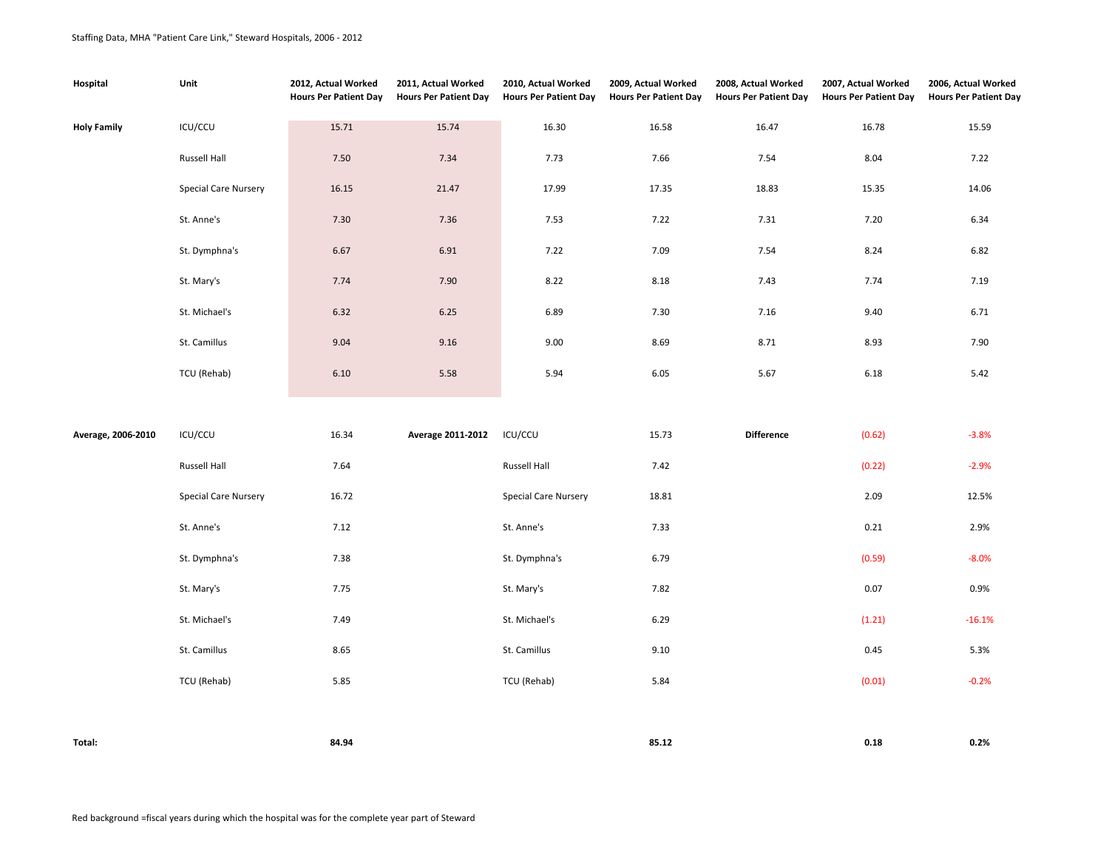| Hospital           | Unit                        | 2012, Actual Worked<br><b>Hours Per Patient Day</b> | 2011, Actual Worked<br><b>Hours Per Patient Day</b> | 2010, Actual Worked<br><b>Hours Per Patient Day</b> | 2009, Actual Worked<br><b>Hours Per Patient Day</b> | 2008, Actual Worked<br><b>Hours Per Patient Day</b> | 2007, Actual Worked<br><b>Hours Per Patient Day</b> | 2006, Actual Worked<br><b>Hours Per Patient Day</b> |
|--------------------|-----------------------------|-----------------------------------------------------|-----------------------------------------------------|-----------------------------------------------------|-----------------------------------------------------|-----------------------------------------------------|-----------------------------------------------------|-----------------------------------------------------|
| <b>Holy Family</b> | ICU/CCU                     | 15.71                                               | 15.74                                               | 16.30                                               | 16.58                                               | 16.47                                               | 16.78                                               | 15.59                                               |
|                    | Russell Hall                | 7.50                                                | 7.34                                                | 7.73                                                | 7.66                                                | 7.54                                                | 8.04                                                | 7.22                                                |
|                    | <b>Special Care Nursery</b> | 16.15                                               | 21.47                                               | 17.99                                               | 17.35                                               | 18.83                                               | 15.35                                               | 14.06                                               |
|                    | St. Anne's                  | 7.30                                                | 7.36                                                | 7.53                                                | 7.22                                                | 7.31                                                | 7.20                                                | 6.34                                                |
|                    | St. Dymphna's               | 6.67                                                | 6.91                                                | 7.22                                                | 7.09                                                | 7.54                                                | 8.24                                                | 6.82                                                |
|                    | St. Mary's                  | 7.74                                                | 7.90                                                | 8.22                                                | 8.18                                                | 7.43                                                | 7.74                                                | 7.19                                                |
|                    | St. Michael's               | 6.32                                                | 6.25                                                | 6.89                                                | 7.30                                                | 7.16                                                | 9.40                                                | 6.71                                                |
|                    | St. Camillus                | 9.04                                                | 9.16                                                | 9.00                                                | 8.69                                                | 8.71                                                | 8.93                                                | 7.90                                                |
|                    | TCU (Rehab)                 | 6.10                                                | 5.58                                                | 5.94                                                | 6.05                                                | 5.67                                                | 6.18                                                | 5.42                                                |
|                    |                             |                                                     |                                                     |                                                     |                                                     |                                                     |                                                     |                                                     |
| Average, 2006-2010 | ICU/CCU                     | 16.34                                               | Average 2011-2012                                   | ICU/CCU                                             | 15.73                                               | <b>Difference</b>                                   | (0.62)                                              | $-3.8%$                                             |
|                    | Russell Hall                | 7.64                                                |                                                     | Russell Hall                                        | 7.42                                                |                                                     | (0.22)                                              | $-2.9%$                                             |
|                    | <b>Special Care Nursery</b> | 16.72                                               |                                                     | Special Care Nursery                                | 18.81                                               |                                                     | 2.09                                                | 12.5%                                               |
|                    | St. Anne's                  | 7.12                                                |                                                     | St. Anne's                                          | 7.33                                                |                                                     | 0.21                                                | 2.9%                                                |
|                    | St. Dymphna's               | 7.38                                                |                                                     | St. Dymphna's                                       | 6.79                                                |                                                     | (0.59)                                              | $-8.0%$                                             |
|                    | St. Mary's                  | 7.75                                                |                                                     | St. Mary's                                          | 7.82                                                |                                                     | 0.07                                                | 0.9%                                                |
|                    | St. Michael's               | 7.49                                                |                                                     | St. Michael's                                       | 6.29                                                |                                                     | (1.21)                                              | $-16.1%$                                            |
|                    | St. Camillus                | 8.65                                                |                                                     | St. Camillus                                        | 9.10                                                |                                                     | 0.45                                                | 5.3%                                                |
|                    | TCU (Rehab)                 | 5.85                                                |                                                     | TCU (Rehab)                                         | 5.84                                                |                                                     | (0.01)                                              | $-0.2%$                                             |
|                    |                             |                                                     |                                                     |                                                     |                                                     |                                                     |                                                     |                                                     |
| Total:             |                             | 84.94                                               |                                                     |                                                     | 85.12                                               |                                                     | 0.18                                                | 0.2%                                                |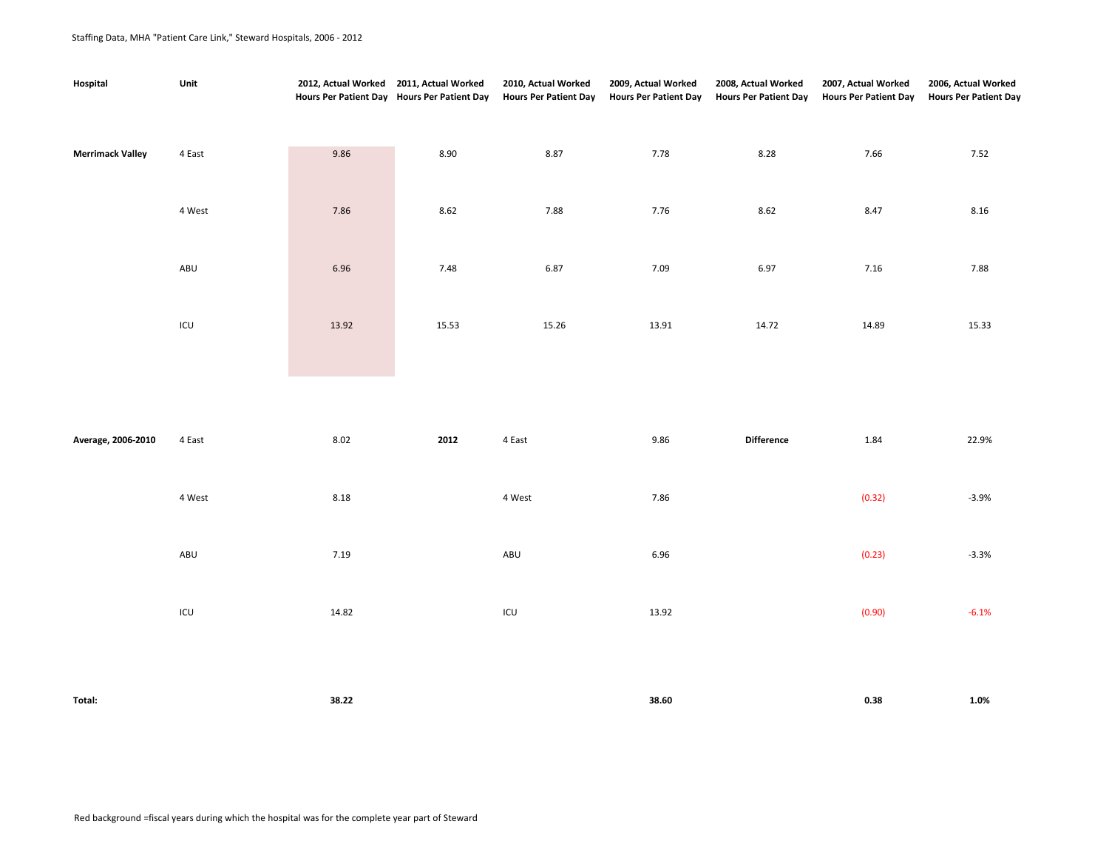## Staffing Data, MHA "Patient Care Link," Steward Hospitals, 2006 - 2012

| Hospital                | Unit   | 2012, Actual Worked 2011, Actual Worked | Hours Per Patient Day Hours Per Patient Day | 2010, Actual Worked<br><b>Hours Per Patient Day</b> | 2009, Actual Worked<br><b>Hours Per Patient Day</b> | 2008, Actual Worked<br><b>Hours Per Patient Day</b> | 2007, Actual Worked<br><b>Hours Per Patient Day</b> | 2006, Actual Worked<br><b>Hours Per Patient Day</b> |
|-------------------------|--------|-----------------------------------------|---------------------------------------------|-----------------------------------------------------|-----------------------------------------------------|-----------------------------------------------------|-----------------------------------------------------|-----------------------------------------------------|
| <b>Merrimack Valley</b> | 4 East | 9.86                                    | 8.90                                        | 8.87                                                | 7.78                                                | 8.28                                                | 7.66                                                | 7.52                                                |
|                         | 4 West | 7.86                                    | 8.62                                        | 7.88                                                | 7.76                                                | 8.62                                                | 8.47                                                | 8.16                                                |
|                         | ABU    | 6.96                                    | 7.48                                        | 6.87                                                | 7.09                                                | 6.97                                                | 7.16                                                | 7.88                                                |
|                         | ICU    | 13.92                                   | 15.53                                       | 15.26                                               | 13.91                                               | 14.72                                               | 14.89                                               | 15.33                                               |

| Average, 2006-2010 | 4 East | 8.02  | 2012 | 4 East | 9.86  | <b>Difference</b> | 1.84   | 22.9%   |
|--------------------|--------|-------|------|--------|-------|-------------------|--------|---------|
|                    | 4 West | 8.18  |      | 4 West | 7.86  |                   | (0.32) | $-3.9%$ |
|                    | ABU    | 7.19  |      | ABU    | 6.96  |                   | (0.23) | $-3.3%$ |
|                    | ICU    | 14.82 |      | ICU    | 13.92 |                   | (0.90) | $-6.1%$ |
|                    |        |       |      |        |       |                   |        |         |

| Total:<br>. | 38.22 | 38.60 | 0.38 | 1.0%<br>$\sim$ $\sim$ $\sim$ |
|-------------|-------|-------|------|------------------------------|
|             |       |       |      |                              |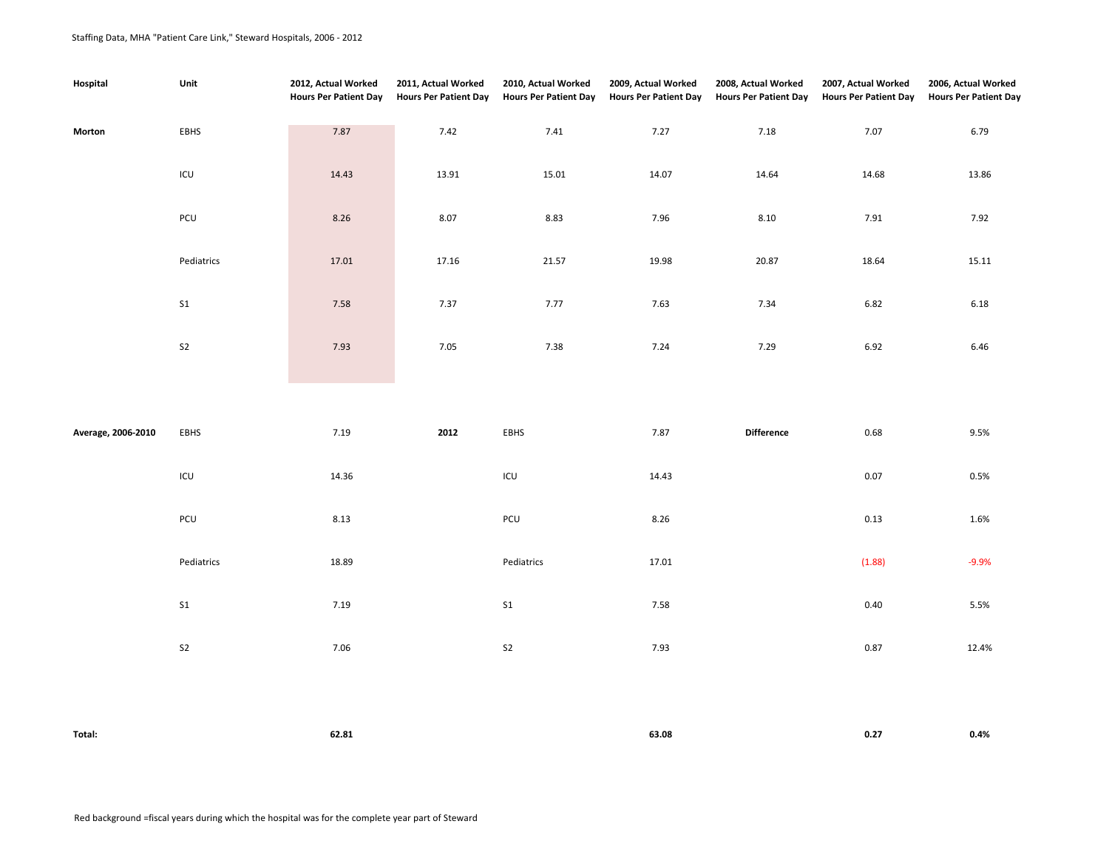## Staffing Data, MHA "Patient Care Link," Steward Hospitals, 2006 - 2012

| Hospital           | Unit           | 2012, Actual Worked<br><b>Hours Per Patient Day</b> | 2011, Actual Worked<br><b>Hours Per Patient Day</b> | 2010, Actual Worked<br><b>Hours Per Patient Day</b> | 2009, Actual Worked<br><b>Hours Per Patient Day</b> | 2008, Actual Worked<br><b>Hours Per Patient Day</b> | 2007, Actual Worked<br><b>Hours Per Patient Day</b> | 2006, Actual Worked<br><b>Hours Per Patient Day</b> |
|--------------------|----------------|-----------------------------------------------------|-----------------------------------------------------|-----------------------------------------------------|-----------------------------------------------------|-----------------------------------------------------|-----------------------------------------------------|-----------------------------------------------------|
| Morton             | EBHS           | 7.87                                                | 7.42                                                | 7.41                                                | 7.27                                                | 7.18                                                | 7.07                                                | 6.79                                                |
|                    | $\mathsf{ICU}$ | 14.43                                               | 13.91                                               | 15.01                                               | 14.07                                               | 14.64                                               | 14.68                                               | 13.86                                               |
|                    | $PCU$          | 8.26                                                | 8.07                                                | 8.83                                                | 7.96                                                | 8.10                                                | 7.91                                                | 7.92                                                |
|                    | Pediatrics     | 17.01                                               | 17.16                                               | 21.57                                               | 19.98                                               | 20.87                                               | 18.64                                               | 15.11                                               |
|                    | $\sf S1$       | 7.58                                                | 7.37                                                | 7.77                                                | 7.63                                                | 7.34                                                | 6.82                                                | 6.18                                                |
|                    | S <sub>2</sub> | 7.93                                                | 7.05                                                | 7.38                                                | 7.24                                                | 7.29                                                | 6.92                                                | 6.46                                                |
|                    |                |                                                     |                                                     |                                                     |                                                     |                                                     |                                                     |                                                     |
| Average, 2006-2010 | EBHS           | 7.19                                                | 2012                                                | EBHS                                                | 7.87                                                | <b>Difference</b>                                   | 0.68                                                | 9.5%                                                |
|                    | $\mathsf{ICU}$ | 14.36                                               |                                                     | ICU                                                 | 14.43                                               |                                                     | 0.07                                                | 0.5%                                                |
|                    | PCU            | 8.13                                                |                                                     | PCU                                                 | $8.26\,$                                            |                                                     | 0.13                                                | 1.6%                                                |
|                    | Pediatrics     | 18.89                                               |                                                     | Pediatrics                                          | 17.01                                               |                                                     | (1.88)                                              | $-9.9%$                                             |
|                    | S <sub>1</sub> | 7.19                                                |                                                     | $\sf S1$                                            | 7.58                                                |                                                     | 0.40                                                | 5.5%                                                |
|                    | ${\sf S2}$     | 7.06                                                |                                                     | S <sub>2</sub>                                      | 7.93                                                |                                                     | 0.87                                                | 12.4%                                               |
|                    |                |                                                     |                                                     |                                                     |                                                     |                                                     |                                                     |                                                     |
| Total:             |                | 62.81                                               |                                                     |                                                     | 63.08                                               |                                                     | 0.27                                                | 0.4%                                                |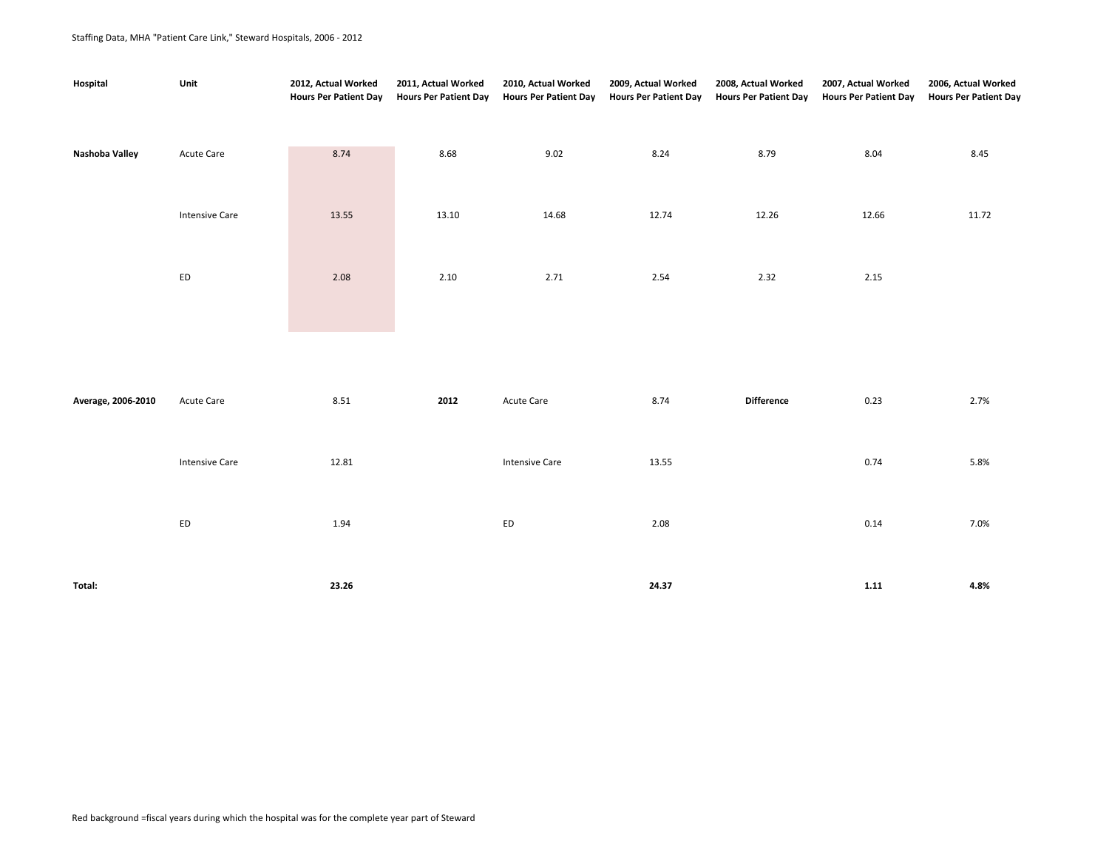## Staffing Data, MHA "Patient Care Link," Steward Hospitals, 2006 - 2012

| Hospital           | Unit                  | 2012, Actual Worked<br><b>Hours Per Patient Day</b> | 2011, Actual Worked<br><b>Hours Per Patient Day</b> | 2010, Actual Worked<br><b>Hours Per Patient Day</b> | 2009, Actual Worked<br><b>Hours Per Patient Day</b> | 2008, Actual Worked<br><b>Hours Per Patient Day</b> | 2007, Actual Worked<br><b>Hours Per Patient Day</b> | 2006, Actual Worked<br><b>Hours Per Patient Day</b> |
|--------------------|-----------------------|-----------------------------------------------------|-----------------------------------------------------|-----------------------------------------------------|-----------------------------------------------------|-----------------------------------------------------|-----------------------------------------------------|-----------------------------------------------------|
| Nashoba Valley     | Acute Care            | 8.74                                                | 8.68                                                | 9.02                                                | 8.24                                                | 8.79                                                | 8.04                                                | 8.45                                                |
|                    | <b>Intensive Care</b> | 13.55                                               | 13.10                                               | 14.68                                               | 12.74                                               | 12.26                                               | 12.66                                               | 11.72                                               |
|                    |                       |                                                     |                                                     |                                                     |                                                     |                                                     |                                                     |                                                     |
|                    | ${\sf ED}$            | 2.08                                                | 2.10                                                | 2.71                                                | 2.54                                                | 2.32                                                | 2.15                                                |                                                     |
|                    |                       |                                                     |                                                     |                                                     |                                                     |                                                     |                                                     |                                                     |
| Average, 2006-2010 | Acute Care            | 8.51                                                | 2012                                                | Acute Care                                          | 8.74                                                | <b>Difference</b>                                   | 0.23                                                | 2.7%                                                |
|                    | <b>Intensive Care</b> | 12.81                                               |                                                     | <b>Intensive Care</b>                               | 13.55                                               |                                                     | 0.74                                                | 5.8%                                                |
|                    | ${\sf ED}$            | 1.94                                                |                                                     | ED                                                  | 2.08                                                |                                                     | 0.14                                                | 7.0%                                                |
|                    |                       |                                                     |                                                     |                                                     |                                                     |                                                     |                                                     |                                                     |

**Total: 23.26 24.37 1.11 4.8%**

Red background =fiscal years during which the hospital was for the complete year part of Steward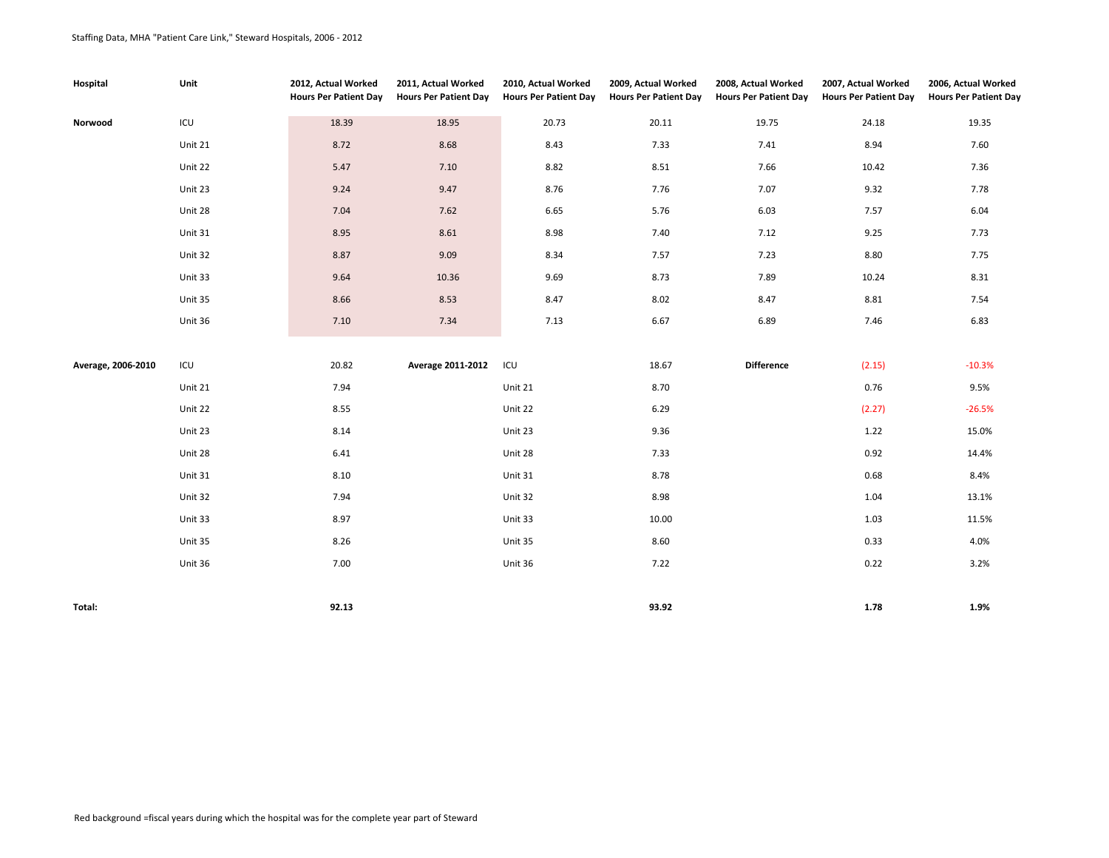| Hospital           | Unit    | 2012, Actual Worked<br><b>Hours Per Patient Day</b> | 2011, Actual Worked<br><b>Hours Per Patient Day</b> | 2010, Actual Worked<br><b>Hours Per Patient Day</b> | 2009, Actual Worked<br><b>Hours Per Patient Day</b> | 2008, Actual Worked<br><b>Hours Per Patient Day</b> | 2007, Actual Worked<br><b>Hours Per Patient Day</b> | 2006, Actual Worked<br><b>Hours Per Patient Day</b> |
|--------------------|---------|-----------------------------------------------------|-----------------------------------------------------|-----------------------------------------------------|-----------------------------------------------------|-----------------------------------------------------|-----------------------------------------------------|-----------------------------------------------------|
| Norwood            | ICU     | 18.39                                               | 18.95                                               | 20.73                                               | 20.11                                               | 19.75                                               | 24.18                                               | 19.35                                               |
|                    | Unit 21 | 8.72                                                | 8.68                                                | 8.43                                                | 7.33                                                | 7.41                                                | 8.94                                                | 7.60                                                |
|                    | Unit 22 | 5.47                                                | 7.10                                                | 8.82                                                | 8.51                                                | 7.66                                                | 10.42                                               | 7.36                                                |
|                    | Unit 23 | 9.24                                                | 9.47                                                | 8.76                                                | 7.76                                                | 7.07                                                | 9.32                                                | 7.78                                                |
|                    | Unit 28 | 7.04                                                | 7.62                                                | 6.65                                                | 5.76                                                | 6.03                                                | 7.57                                                | 6.04                                                |
|                    | Unit 31 | 8.95                                                | 8.61                                                | 8.98                                                | 7.40                                                | 7.12                                                | 9.25                                                | 7.73                                                |
|                    | Unit 32 | 8.87                                                | 9.09                                                | 8.34                                                | 7.57                                                | 7.23                                                | 8.80                                                | 7.75                                                |
|                    | Unit 33 | 9.64                                                | 10.36                                               | 9.69                                                | 8.73                                                | 7.89                                                | 10.24                                               | 8.31                                                |
|                    | Unit 35 | 8.66                                                | 8.53                                                | 8.47                                                | 8.02                                                | 8.47                                                | 8.81                                                | 7.54                                                |
|                    | Unit 36 | 7.10                                                | 7.34                                                | 7.13                                                | 6.67                                                | 6.89                                                | 7.46                                                | 6.83                                                |
|                    |         |                                                     |                                                     |                                                     |                                                     |                                                     |                                                     |                                                     |
| Average, 2006-2010 | ICU     | 20.82                                               | Average 2011-2012                                   | ICU                                                 | 18.67                                               | <b>Difference</b>                                   | (2.15)                                              | $-10.3%$                                            |
|                    | Unit 21 | 7.94                                                |                                                     | Unit 21                                             | 8.70                                                |                                                     | 0.76                                                | 9.5%                                                |
|                    | Unit 22 | 8.55                                                |                                                     | Unit 22                                             | 6.29                                                |                                                     | (2.27)                                              | $-26.5%$                                            |
|                    | Unit 23 | 8.14                                                |                                                     | Unit 23                                             | 9.36                                                |                                                     | 1.22                                                | 15.0%                                               |
|                    | Unit 28 | 6.41                                                |                                                     | Unit 28                                             | 7.33                                                |                                                     | 0.92                                                | 14.4%                                               |
|                    | Unit 31 | 8.10                                                |                                                     | Unit 31                                             | 8.78                                                |                                                     | 0.68                                                | 8.4%                                                |
|                    | Unit 32 | 7.94                                                |                                                     | Unit 32                                             | 8.98                                                |                                                     | 1.04                                                | 13.1%                                               |
|                    | Unit 33 | 8.97                                                |                                                     | Unit 33                                             | 10.00                                               |                                                     | 1.03                                                | 11.5%                                               |
|                    | Unit 35 | 8.26                                                |                                                     | Unit 35                                             | 8.60                                                |                                                     | 0.33                                                | 4.0%                                                |
|                    | Unit 36 | 7.00                                                |                                                     | Unit 36                                             | 7.22                                                |                                                     | 0.22                                                | 3.2%                                                |
|                    |         |                                                     |                                                     |                                                     |                                                     |                                                     |                                                     |                                                     |
| Total:             |         | 92.13                                               |                                                     |                                                     | 93.92                                               |                                                     | 1.78                                                | 1.9%                                                |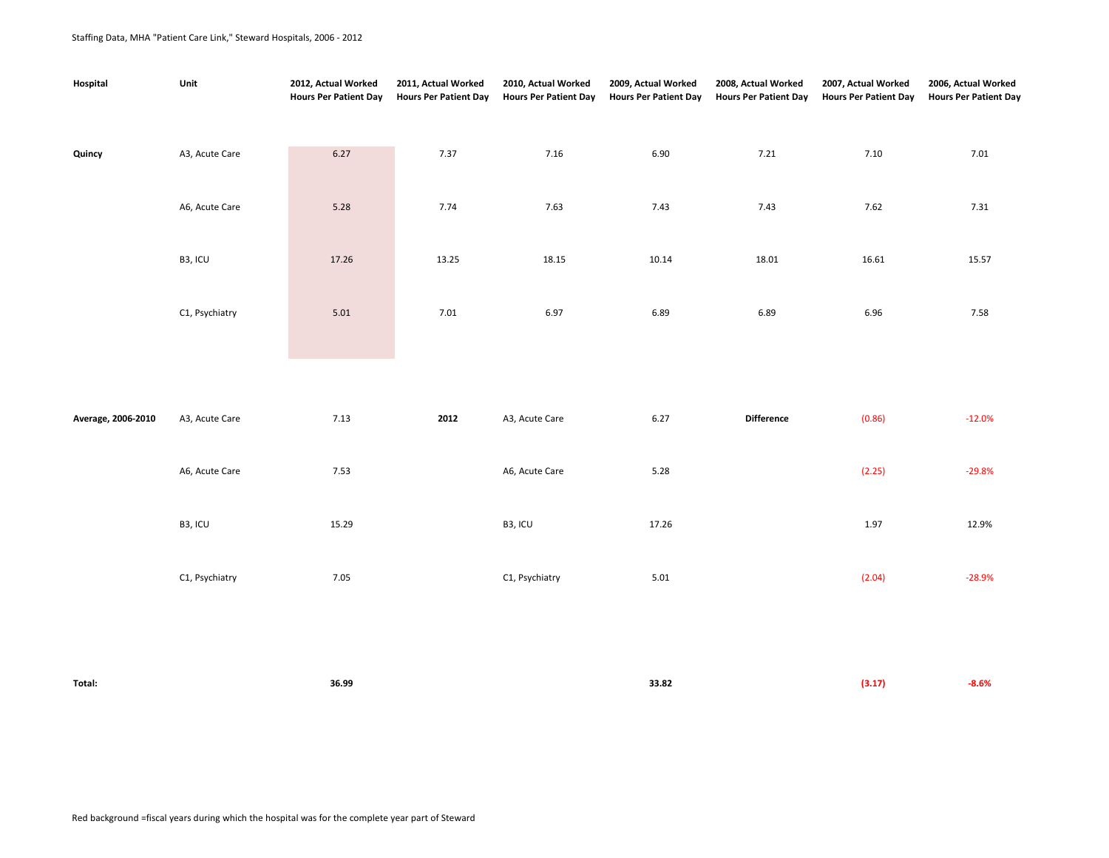| Hospital           | Unit                 | 2012, Actual Worked<br><b>Hours Per Patient Day</b> | 2011, Actual Worked<br><b>Hours Per Patient Day</b> | 2010, Actual Worked<br><b>Hours Per Patient Day</b> | 2009, Actual Worked<br><b>Hours Per Patient Day</b> | 2008, Actual Worked<br><b>Hours Per Patient Day</b> | 2007, Actual Worked<br><b>Hours Per Patient Day</b> | 2006, Actual Worked<br><b>Hours Per Patient Day</b> |
|--------------------|----------------------|-----------------------------------------------------|-----------------------------------------------------|-----------------------------------------------------|-----------------------------------------------------|-----------------------------------------------------|-----------------------------------------------------|-----------------------------------------------------|
| Quincy             | A3, Acute Care       | 6.27                                                | 7.37                                                | 7.16                                                | 6.90                                                | 7.21                                                | 7.10                                                | 7.01                                                |
|                    | A6, Acute Care       | 5.28                                                | 7.74                                                | 7.63                                                | 7.43                                                | 7.43                                                | 7.62                                                | 7.31                                                |
|                    | B <sub>3</sub> , ICU | 17.26                                               | 13.25                                               | 18.15                                               | 10.14                                               | 18.01                                               | 16.61                                               | 15.57                                               |
|                    | C1, Psychiatry       | 5.01                                                | 7.01                                                | 6.97                                                | 6.89                                                | 6.89                                                | 6.96                                                | 7.58                                                |
|                    |                      |                                                     |                                                     |                                                     |                                                     |                                                     |                                                     |                                                     |
| Average, 2006-2010 | A3, Acute Care       | 7.13                                                | 2012                                                | A3, Acute Care                                      | 6.27                                                | <b>Difference</b>                                   | (0.86)                                              | $-12.0%$                                            |
|                    | A6, Acute Care       | 7.53                                                |                                                     | A6, Acute Care                                      | 5.28                                                |                                                     | (2.25)                                              | $-29.8%$                                            |

|                | .     |                | $  -$ | $\sim$ | ------   |
|----------------|-------|----------------|-------|--------|----------|
|                |       |                |       |        |          |
| B3, ICU        | 15.29 | B3, ICU        | 17.26 | 1.97   | 12.9%    |
| C1, Psychiatry | 7.05  | C1, Psychiatry | 5.01  | (2.04) | $-28.9%$ |

| × |  |
|---|--|

**Total: 36.99 33.82 (3.17) -8.6%**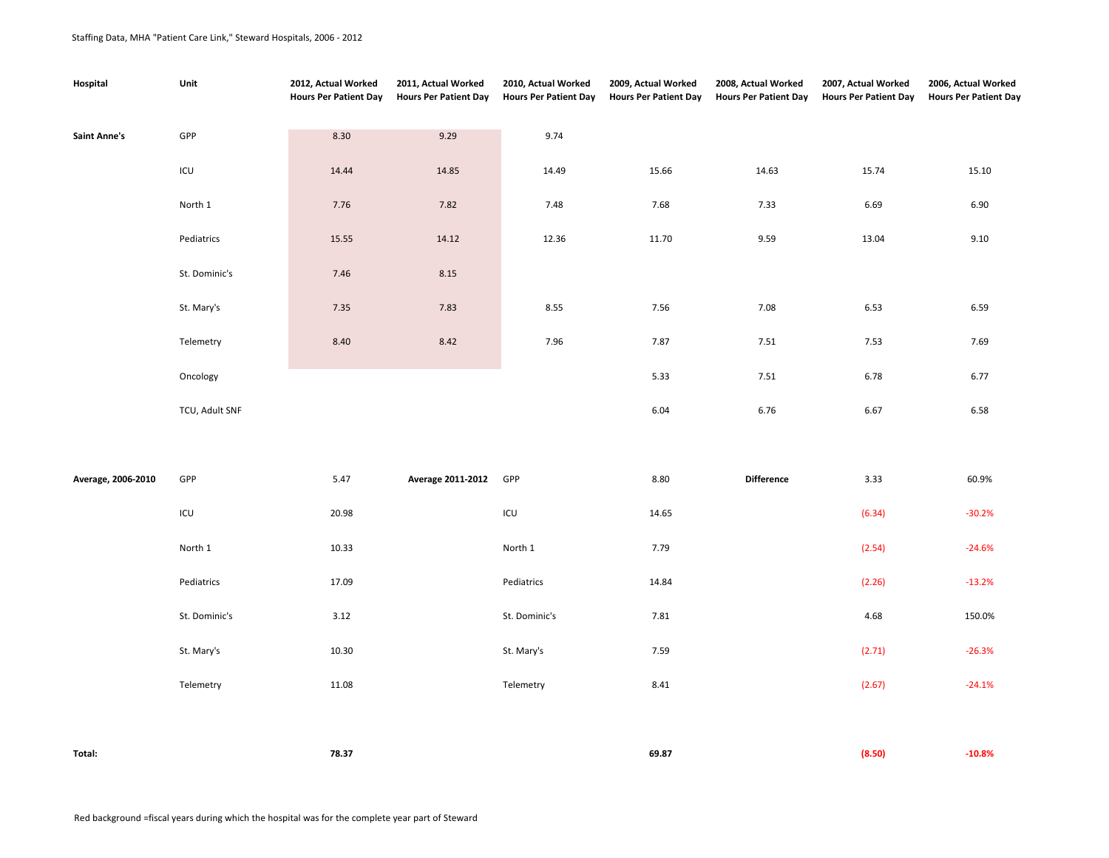| Hospital            | Unit           | 2012, Actual Worked<br><b>Hours Per Patient Day</b> | 2011, Actual Worked<br><b>Hours Per Patient Day</b> | 2010, Actual Worked<br><b>Hours Per Patient Day</b> | 2009, Actual Worked<br><b>Hours Per Patient Day</b> | 2008, Actual Worked<br><b>Hours Per Patient Day</b> | 2007, Actual Worked<br><b>Hours Per Patient Day</b> | 2006, Actual Worked<br><b>Hours Per Patient Day</b> |
|---------------------|----------------|-----------------------------------------------------|-----------------------------------------------------|-----------------------------------------------------|-----------------------------------------------------|-----------------------------------------------------|-----------------------------------------------------|-----------------------------------------------------|
| <b>Saint Anne's</b> | GPP            | 8.30                                                | 9.29                                                | 9.74                                                |                                                     |                                                     |                                                     |                                                     |
|                     | ICU            | 14.44                                               | 14.85                                               | 14.49                                               | 15.66                                               | 14.63                                               | 15.74                                               | 15.10                                               |
|                     | North 1        | 7.76                                                | 7.82                                                | 7.48                                                | 7.68                                                | 7.33                                                | 6.69                                                | 6.90                                                |
|                     | Pediatrics     | 15.55                                               | 14.12                                               | 12.36                                               | 11.70                                               | 9.59                                                | 13.04                                               | 9.10                                                |
|                     | St. Dominic's  | 7.46                                                | 8.15                                                |                                                     |                                                     |                                                     |                                                     |                                                     |
|                     | St. Mary's     | 7.35                                                | 7.83                                                | 8.55                                                | 7.56                                                | 7.08                                                | 6.53                                                | 6.59                                                |
|                     | Telemetry      | 8.40                                                | 8.42                                                | 7.96                                                | 7.87                                                | 7.51                                                | 7.53                                                | 7.69                                                |
|                     | Oncology       |                                                     |                                                     |                                                     | 5.33                                                | 7.51                                                | 6.78                                                | 6.77                                                |
|                     | TCU, Adult SNF |                                                     |                                                     |                                                     | 6.04                                                | 6.76                                                | 6.67                                                | 6.58                                                |
|                     |                |                                                     |                                                     |                                                     |                                                     |                                                     |                                                     |                                                     |
| Average, 2006-2010  | GPP            | 5.47                                                | Average 2011-2012                                   | GPP                                                 | 8.80                                                | Difference                                          | 3.33                                                | 60.9%                                               |
|                     | ICU            | 20.98                                               |                                                     | ICU                                                 | 14.65                                               |                                                     | (6.34)                                              | $-30.2%$                                            |
|                     | North 1        | 10.33                                               |                                                     | North 1                                             | 7.79                                                |                                                     | (2.54)                                              | $-24.6%$                                            |
|                     | Pediatrics     | 17.09                                               |                                                     | Pediatrics                                          | 14.84                                               |                                                     | (2.26)                                              | $-13.2%$                                            |
|                     | St. Dominic's  | 3.12                                                |                                                     | St. Dominic's                                       | 7.81                                                |                                                     | 4.68                                                | 150.0%                                              |
|                     | St. Mary's     | 10.30                                               |                                                     | St. Mary's                                          | 7.59                                                |                                                     | (2.71)                                              | $-26.3%$                                            |
|                     | Telemetry      | 11.08                                               |                                                     | Telemetry                                           | 8.41                                                |                                                     | (2.67)                                              | $-24.1%$                                            |
|                     |                |                                                     |                                                     |                                                     |                                                     |                                                     |                                                     |                                                     |
| Total:              |                | 78.37                                               |                                                     |                                                     | 69.87                                               |                                                     | (8.50)                                              | $-10.8%$                                            |